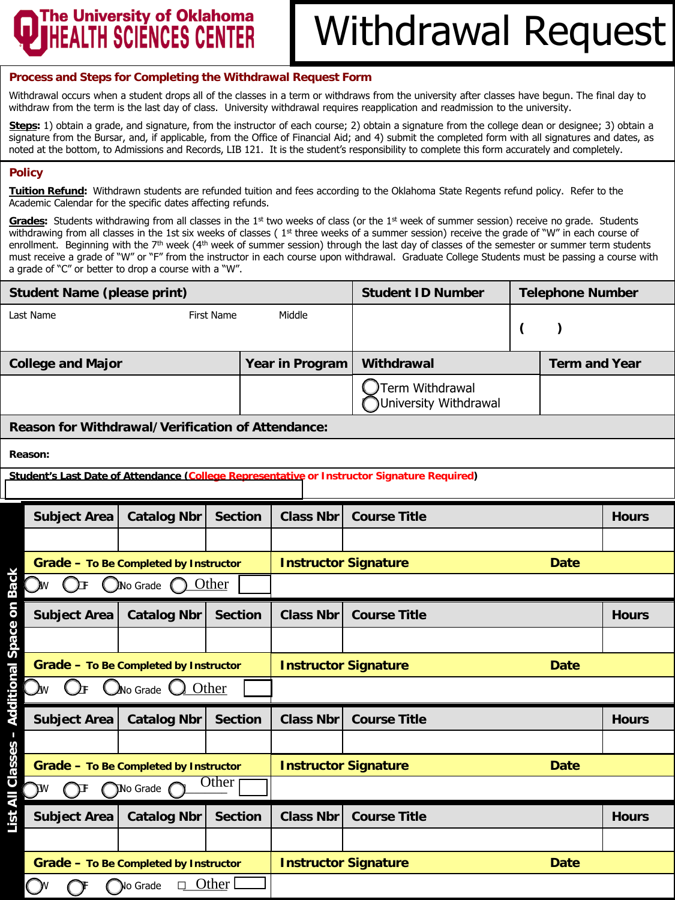### **The University of Oklahoma** HEALTH SCIÉNCES CENTER

## Withdrawal Request

#### **Process and Steps for Completing the Withdrawal Request Form**

Withdrawal occurs when a student drops all of the classes in a term or withdraws from the university after classes have begun. The final day to withdraw from the term is the last day of class. University withdrawal requires reapplication and readmission to the university.

**Steps:** 1) obtain a grade, and signature, from the instructor of each course; 2) obtain a signature from the college dean or designee; 3) obtain a signature from the Bursar, and, if applicable, from the Office of Financial Aid; and 4) submit the completed form with all signatures and dates, as noted at the bottom, to Admissions and Records, LIB 121. It is the student's responsibility to complete this form accurately and completely.

#### **Policy**

**Tuition Refund:** Withdrawn students are refunded tuition and fees according to the Oklahoma State Regents refund policy. Refer to the Academic Calendar for the specific dates affecting refunds.

Grades: Students withdrawing from all classes in the 1<sup>st</sup> two weeks of class (or the 1<sup>st</sup> week of summer session) receive no grade. Students withdrawing from all classes in the 1st six weeks of classes ( $1<sup>st</sup>$  three weeks of a summer session) receive the grade of "W" in each course of enrollment. Beginning with the 7<sup>th</sup> week (4<sup>th</sup> week of summer session) through the last day of classes of the semester or summer term students must receive a grade of "W" or "F" from the instructor in each course upon withdrawal. Graduate College Students must be passing a course with a grade of "C" or better to drop a course with a "W".

| <b>Student Name (please print)</b>                                                          |                                       |                   |                  | <b>Student ID Number</b>                   | <b>Telephone Number</b> |           |              |  |  |  |  |
|---------------------------------------------------------------------------------------------|---------------------------------------|-------------------|------------------|--------------------------------------------|-------------------------|-----------|--------------|--|--|--|--|
| Last Name                                                                                   |                                       | <b>First Name</b> | Middle           |                                            | $\zeta$                 | $\lambda$ |              |  |  |  |  |
| <b>College and Major</b>                                                                    |                                       |                   | Year in Program  | Withdrawal<br><b>Term and Year</b>         |                         |           |              |  |  |  |  |
|                                                                                             |                                       |                   |                  | Term Withdrawal<br>University Withdrawal   |                         |           |              |  |  |  |  |
| Reason for Withdrawal/Verification of Attendance:                                           |                                       |                   |                  |                                            |                         |           |              |  |  |  |  |
| Reason:                                                                                     |                                       |                   |                  |                                            |                         |           |              |  |  |  |  |
| Student's Last Date of Attendance (College Representative or Instructor Signature Required) |                                       |                   |                  |                                            |                         |           |              |  |  |  |  |
| <b>Subject Area</b>                                                                         | <b>Catalog Nbr</b>                    | <b>Section</b>    | <b>Class Nbr</b> | <b>Course Title</b>                        | <b>Hours</b>            |           |              |  |  |  |  |
|                                                                                             |                                       |                   |                  |                                            |                         |           |              |  |  |  |  |
|                                                                                             | Grade - To Be Completed by Instructor |                   |                  | <b>Instructor Signature</b><br><b>Date</b> |                         |           |              |  |  |  |  |
| ) TF                                                                                        | No Grade                              | Other             |                  |                                            |                         |           |              |  |  |  |  |
| <b>Subject Area</b>                                                                         | <b>Catalog Nbr</b>                    | <b>Section</b>    | <b>Class Nbr</b> | <b>Course Title</b>                        |                         |           | <b>Hours</b> |  |  |  |  |
|                                                                                             |                                       |                   |                  |                                            |                         |           |              |  |  |  |  |
|                                                                                             | Grade - To Be Completed by Instructor |                   |                  | <b>Instructor Signature</b><br><b>Date</b> |                         |           |              |  |  |  |  |
| $\Omega$<br>Jw                                                                              | ONo Grade Q Other                     |                   |                  |                                            |                         |           |              |  |  |  |  |
| <b>Subject Area</b>                                                                         | <b>Catalog Nbr</b>                    | <b>Section</b>    | <b>Class Nbr</b> | <b>Course Title</b>                        |                         |           | <b>Hours</b> |  |  |  |  |
|                                                                                             |                                       |                   |                  |                                            |                         |           |              |  |  |  |  |
| Grade - To Be Completed by Instructor                                                       |                                       |                   |                  | <b>Instructor Signature</b><br><b>Date</b> |                         |           |              |  |  |  |  |
| List All Classes - Additional Space on Back<br>Other<br>No Grade (<br>٦W<br>Л               |                                       |                   |                  |                                            |                         |           |              |  |  |  |  |
| <b>Subject Area</b>                                                                         | <b>Catalog Nbr</b>                    | <b>Section</b>    | <b>Class Nbr</b> | <b>Course Title</b>                        |                         |           | <b>Hours</b> |  |  |  |  |
|                                                                                             |                                       |                   |                  |                                            |                         |           |              |  |  |  |  |
|                                                                                             | Grade - To Be Completed by Instructor |                   |                  | <b>Instructor Signature</b><br><b>Date</b> |                         |           |              |  |  |  |  |
| W.                                                                                          | $\Box$ Other<br>No Grade              |                   |                  |                                            |                         |           |              |  |  |  |  |